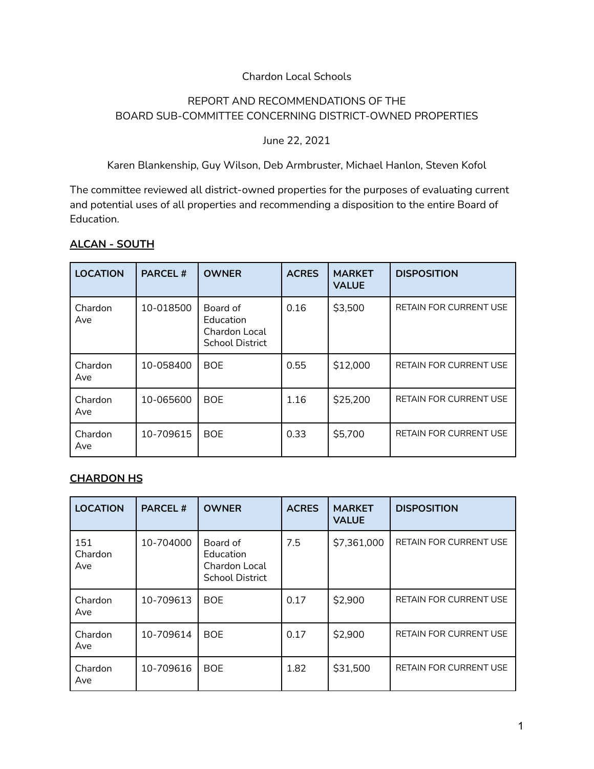#### Chardon Local Schools

## REPORT AND RECOMMENDATIONS OF THE BOARD SUB-COMMITTEE CONCERNING DISTRICT-OWNED PROPERTIES

June 22, 2021

Karen Blankenship, Guy Wilson, Deb Armbruster, Michael Hanlon, Steven Kofol

The committee reviewed all district-owned properties for the purposes of evaluating current and potential uses of all properties and recommending a disposition to the entire Board of Education.

| <b>LOCATION</b> | <b>PARCEL#</b> | <b>OWNER</b>                                                            | <b>ACRES</b> | <b>MARKET</b><br><b>VALUE</b> | <b>DISPOSITION</b>            |
|-----------------|----------------|-------------------------------------------------------------------------|--------------|-------------------------------|-------------------------------|
| Chardon<br>Ave  | 10-018500      | Board of<br>Education<br><b>Chardon Local</b><br><b>School District</b> | 0.16         | \$3,500                       | <b>RETAIN FOR CURRENT USE</b> |
| Chardon<br>Ave  | 10-058400      | <b>BOE</b>                                                              | 0.55         | \$12,000                      | <b>RETAIN FOR CURRENT USE</b> |
| Chardon<br>Ave  | 10-065600      | <b>BOE</b>                                                              | 1.16         | \$25,200                      | <b>RETAIN FOR CURRENT USE</b> |
| Chardon<br>Ave  | 10-709615      | <b>BOE</b>                                                              | 0.33         | \$5,700                       | <b>RETAIN FOR CURRENT USE</b> |

### **ALCAN - SOUTH**

### **CHARDON HS**

| <b>LOCATION</b>       | <b>PARCEL#</b> | <b>OWNER</b>                                                     | <b>ACRES</b> | <b>MARKET</b><br><b>VALUE</b> | <b>DISPOSITION</b>            |
|-----------------------|----------------|------------------------------------------------------------------|--------------|-------------------------------|-------------------------------|
| 151<br>Chardon<br>Ave | 10-704000      | Board of<br>Education<br>Chardon Local<br><b>School District</b> | 7.5          | \$7,361,000                   | <b>RETAIN FOR CURRENT USE</b> |
| Chardon<br>Ave        | 10-709613      | <b>BOE</b>                                                       | 0.17         | \$2,900                       | <b>RETAIN FOR CURRENT USE</b> |
| Chardon<br>Ave        | 10-709614      | <b>BOE</b>                                                       | 0.17         | \$2,900                       | <b>RETAIN FOR CURRENT USE</b> |
| Chardon<br>Ave        | 10-709616      | <b>BOE</b>                                                       | 1.82         | \$31,500                      | <b>RETAIN FOR CURRENT USE</b> |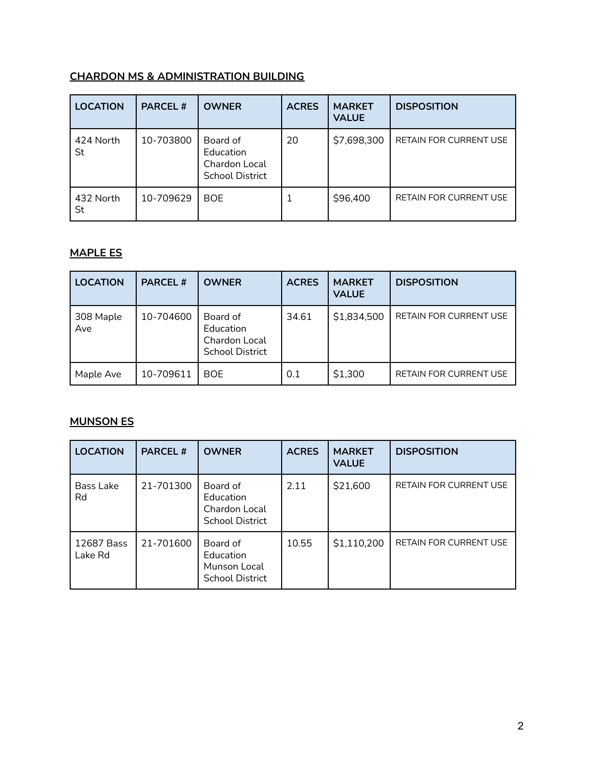# **CHARDON MS & ADMINISTRATION BUILDING**

| <b>LOCATION</b> | <b>PARCEL#</b> | <b>OWNER</b>                                                     | <b>ACRES</b> | <b>MARKET</b><br><b>VALUE</b> | <b>DISPOSITION</b>            |
|-----------------|----------------|------------------------------------------------------------------|--------------|-------------------------------|-------------------------------|
| 424 North<br>St | 10-703800      | Board of<br>Education<br>Chardon Local<br><b>School District</b> | 20           | \$7,698,300                   | <b>RETAIN FOR CURRENT USE</b> |
| 432 North<br>St | 10-709629      | <b>BOE</b>                                                       |              | \$96,400                      | <b>RETAIN FOR CURRENT USE</b> |

# **MAPLE ES**

| <b>LOCATION</b>  | <b>PARCEL#</b> | <b>OWNER</b>                                                     | <b>ACRES</b> | <b>MARKET</b><br><b>VALUE</b> | <b>DISPOSITION</b>            |
|------------------|----------------|------------------------------------------------------------------|--------------|-------------------------------|-------------------------------|
| 308 Maple<br>Ave | 10-704600      | Board of<br>Education<br>Chardon Local<br><b>School District</b> | 34.61        | \$1,834,500                   | <b>RETAIN FOR CURRENT USE</b> |
| Maple Ave        | 10-709611      | <b>BOE</b>                                                       | 0.1          | \$1,300                       | <b>RETAIN FOR CURRENT USE</b> |

## **MUNSON ES**

| <b>LOCATION</b>       | <b>PARCEL#</b> | <b>OWNER</b>                                                     | <b>ACRES</b> | <b>MARKET</b><br><b>VALUE</b> | <b>DISPOSITION</b>            |
|-----------------------|----------------|------------------------------------------------------------------|--------------|-------------------------------|-------------------------------|
| Bass Lake<br>Rd       | 21-701300      | Board of<br>Education<br>Chardon Local<br><b>School District</b> | 2.11         | \$21,600                      | <b>RETAIN FOR CURRENT USE</b> |
| 12687 Bass<br>Lake Rd | 21-701600      | Board of<br>Education<br>Munson Local<br><b>School District</b>  | 10.55        | \$1,110,200                   | <b>RETAIN FOR CURRENT USE</b> |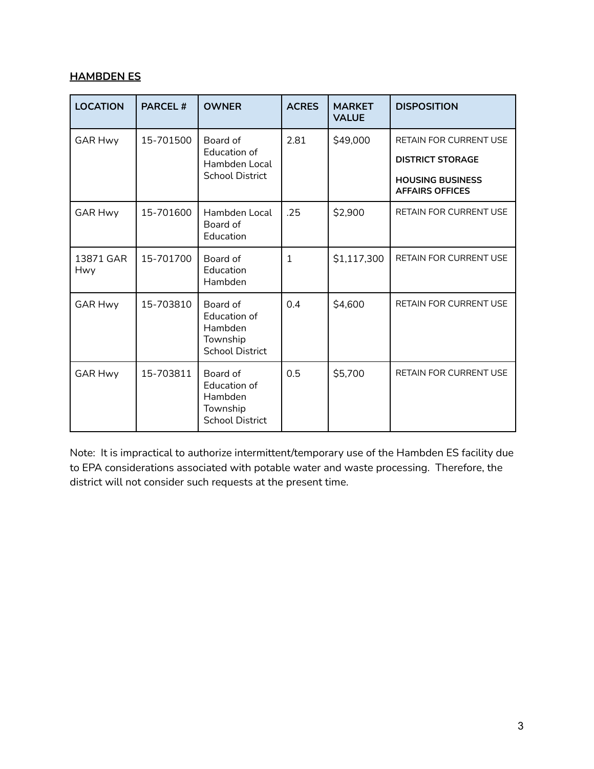### **HAMBDEN ES**

| <b>LOCATION</b>  | <b>PARCEL#</b> | <b>OWNER</b>                                                              | <b>ACRES</b> | <b>MARKET</b><br><b>VALUE</b> | <b>DISPOSITION</b>                                |
|------------------|----------------|---------------------------------------------------------------------------|--------------|-------------------------------|---------------------------------------------------|
| <b>GAR Hwy</b>   | 15-701500      | Board of<br>Education of                                                  | 2.81         | \$49,000                      | <b>RETAIN FOR CURRENT USE</b>                     |
|                  |                | Hambden Local                                                             |              |                               | <b>DISTRICT STORAGE</b>                           |
|                  |                | <b>School District</b>                                                    |              |                               | <b>HOUSING BUSINESS</b><br><b>AFFAIRS OFFICES</b> |
| <b>GAR Hwy</b>   | 15-701600      | Hambden Local<br>Board of<br>Education                                    | .25          | \$2,900                       | <b>RETAIN FOR CURRENT USE</b>                     |
| 13871 GAR<br>Hwy | 15-701700      | Board of<br>Education<br>Hambden                                          | 1            | \$1,117,300                   | <b>RETAIN FOR CURRENT USE</b>                     |
| <b>GAR Hwy</b>   | 15-703810      | Board of<br>Education of<br>Hambden<br>Township<br><b>School District</b> | 0.4          | \$4,600                       | <b>RETAIN FOR CURRENT USE</b>                     |
| <b>GAR Hwy</b>   | 15-703811      | Board of<br>Education of<br>Hambden<br>Township<br><b>School District</b> | 0.5          | \$5,700                       | <b>RETAIN FOR CURRENT USE</b>                     |

Note: It is impractical to authorize intermittent/temporary use of the Hambden ES facility due to EPA considerations associated with potable water and waste processing. Therefore, the district will not consider such requests at the present time.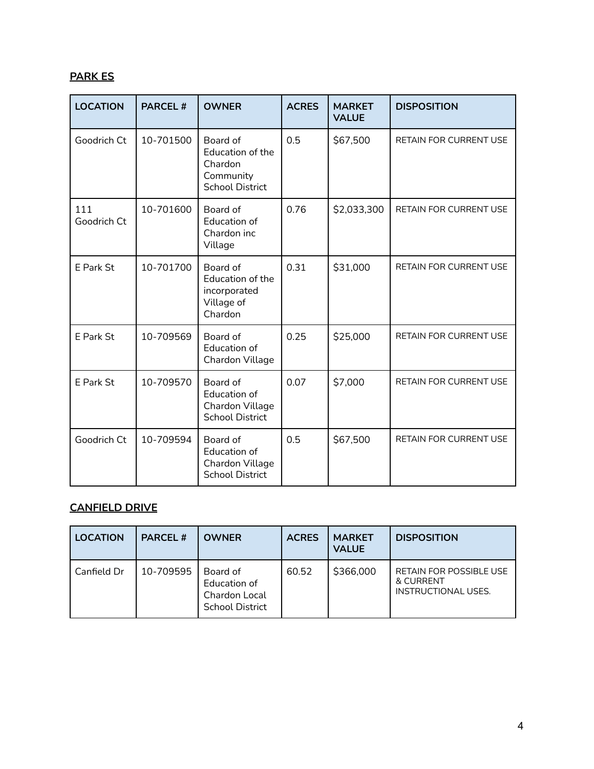# **PARK ES**

| <b>LOCATION</b>    | <b>PARCEL#</b> | <b>OWNER</b>                                                                   | <b>ACRES</b> | <b>MARKET</b><br><b>VALUE</b> | <b>DISPOSITION</b>            |
|--------------------|----------------|--------------------------------------------------------------------------------|--------------|-------------------------------|-------------------------------|
| Goodrich Ct        | 10-701500      | Board of<br>Education of the<br>Chardon<br>Community<br><b>School District</b> | 0.5          | \$67,500                      | <b>RETAIN FOR CURRENT USE</b> |
| 111<br>Goodrich Ct | 10-701600      | Board of<br><b>Education of</b><br>Chardon inc<br>Village                      | 0.76         | \$2,033,300                   | RETAIN FOR CURRENT USE        |
| E Park St          | 10-701700      | Board of<br>Education of the<br>incorporated<br>Village of<br>Chardon          | 0.31         | \$31,000                      | <b>RETAIN FOR CURRENT USE</b> |
| E Park St          | 10-709569      | Board of<br>Education of<br>Chardon Village                                    | 0.25         | \$25,000                      | RETAIN FOR CURRENT USE        |
| E Park St          | 10-709570      | Board of<br>Education of<br>Chardon Village<br><b>School District</b>          | 0.07         | \$7,000                       | <b>RETAIN FOR CURRENT USE</b> |
| Goodrich Ct        | 10-709594      | Board of<br>Education of<br>Chardon Village<br><b>School District</b>          | 0.5          | \$67,500                      | <b>RETAIN FOR CURRENT USE</b> |

## **CANFIELD DRIVE**

| <b>LOCATION</b> | <b>PARCEL#</b> | <b>OWNER</b>                                                        | <b>ACRES</b> | <b>MARKET</b><br><b>VALUE</b> | <b>DISPOSITION</b>                                                 |
|-----------------|----------------|---------------------------------------------------------------------|--------------|-------------------------------|--------------------------------------------------------------------|
| Canfield Dr     | 10-709595      | Board of<br>Education of<br>Chardon Local<br><b>School District</b> | 60.52        | \$366,000                     | <b>RETAIN FOR POSSIBLE USE</b><br>& CURRENT<br>INSTRUCTIONAL USES. |